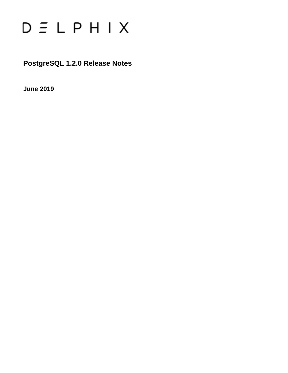

**PostgreSQL 1.2.0 Release Notes**

**June 2019**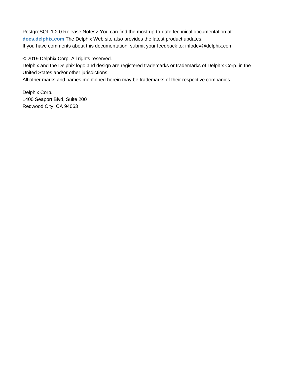PostgreSQL 1.2.0 Release Notes> You can find the most up-to-date technical documentation at: **[docs.delphix.com](http://docs.delphix.com)** The Delphix Web site also provides the latest product updates. If you have comments about this documentation, submit your feedback to: infodev@delphix.com

© 2019 Delphix Corp. All rights reserved.

Delphix and the Delphix logo and design are registered trademarks or trademarks of Delphix Corp. in the United States and/or other jurisdictions.

All other marks and names mentioned herein may be trademarks of their respective companies.

Delphix Corp. 1400 Seaport Blvd, Suite 200 Redwood City, CA 94063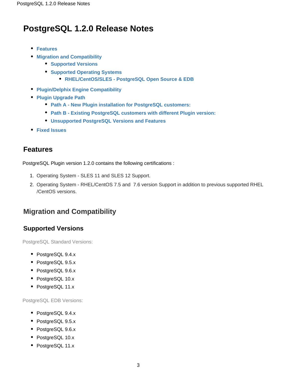# **PostgreSQL 1.2.0 Release Notes**

- **[Features](#page-2-0)**
- **[Migration and Compatibility](#page-2-1)**
	- **[Supported Versions](#page-2-2)**
	- **[Supported Operating Systems](#page-2-3)** 
		- **[RHEL/CentOS/SLES PostgreSQL Open Source & EDB](#page-3-0)**
- **[Plugin/Delphix Engine Compatibility](#page-3-1)**
- **[Plugin Upgrade Path](#page-3-2)**
	- **[Path A New Plugin installation for PostgreSQL customers:](#page-3-3)**
	- **[Path B Existing PostgreSQL customers with different Plugin version:](#page-4-0)**
	- **[Unsupported PostgreSQL Versions and Features](#page-4-1)**
- **[Fixed Issues](#page-4-2)**

### <span id="page-2-0"></span>**Features**

PostgreSQL Plugin version 1.2.0 contains the following certifications :

- 1. Operating System SLES 11 and SLES 12 Support.
- 2. Operating System RHEL/CentOS 7.5 and 7.6 version Support in addition to previous supported RHEL /CentOS versions.

## <span id="page-2-1"></span>**Migration and Compatibility**

### <span id="page-2-2"></span>**Supported Versions**

PostgreSQL Standard Versions:

- PostgreSQL 9.4.x
- PostgreSQL 9.5.x
- PostgreSQL 9.6.x
- PostgreSQL 10.x
- PostgreSQL 11.x

PostgreSQL EDB Versions:

- PostgreSQL 9.4.x
- PostgreSQL 9.5.x
- PostgreSQL 9.6.x
- PostgreSQL 10.x
- <span id="page-2-3"></span>• PostgreSQL 11.x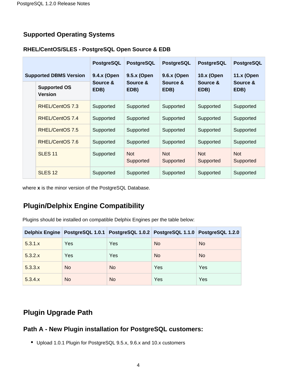### **Supported Operating Systems**

#### <span id="page-3-0"></span>**RHEL/CentOS/SLES - PostgreSQL Open Source & EDB**

|                               |                                       | <b>PostgreSQL</b> | <b>PostgreSQL</b>       | <b>PostgreSQL</b>       | <b>PostgreSQL</b>       | <b>PostgreSQL</b>       |
|-------------------------------|---------------------------------------|-------------------|-------------------------|-------------------------|-------------------------|-------------------------|
| <b>Supported DBMS Version</b> |                                       | 9.4.x (Open       | 9.5.x (Open             | 9.6.x (Open             | 10.x (Open              | <b>11.x (Open</b>       |
|                               | <b>Supported OS</b><br><b>Version</b> | Source &<br>EDB)  | Source &<br>EDB)        | Source &<br>EDB)        | Source &<br>EDB)        | Source &<br>EDB)        |
|                               | RHEL/CentOS 7.3                       | Supported         | Supported               | Supported               | Supported               | Supported               |
|                               | RHEL/CentOS 7.4                       | Supported         | Supported               | Supported               | Supported               | Supported               |
|                               | RHEL/CentOS 7.5                       | Supported         | Supported               | Supported               | Supported               | Supported               |
|                               | RHEL/CentOS 7.6                       | Supported         | Supported               | Supported               | Supported               | Supported               |
|                               | <b>SLES 11</b>                        | Supported         | <b>Not</b><br>Supported | <b>Not</b><br>Supported | <b>Not</b><br>Supported | <b>Not</b><br>Supported |
|                               | SLES <sub>12</sub>                    | Supported         | Supported               | Supported               | Supported               | Supported               |

where **x** is the minor version of the PostgreSQL Database.

## <span id="page-3-1"></span>**Plugin/Delphix Engine Compatibility**

Plugins should be installed on compatible Delphix Engines per the table below:

|         |           | Delphix Engine PostgreSQL 1.0.1 PostgreSQL 1.0.2 PostgreSQL 1.1.0 PostgreSQL 1.2.0 |           |           |
|---------|-----------|------------------------------------------------------------------------------------|-----------|-----------|
| 5.3.1.x | Yes       | Yes                                                                                | <b>No</b> | <b>No</b> |
| 5.3.2.x | Yes       | Yes                                                                                | <b>No</b> | <b>No</b> |
| 5.3.3.x | <b>No</b> | <b>No</b>                                                                          | Yes       | Yes       |
| 5.3.4.x | No        | <b>No</b>                                                                          | Yes       | Yes       |

## <span id="page-3-2"></span>**Plugin Upgrade Path**

#### <span id="page-3-3"></span>**Path A - New Plugin installation for PostgreSQL customers:**

Upload 1.0.1 Plugin for PostgreSQL 9.5.x, 9.6.x and 10.x customers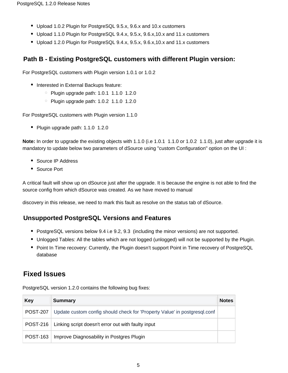- Upload 1.0.2 Plugin for PostgreSQL 9.5.x, 9.6.x and 10.x customers
- Upload 1.1.0 Plugin for PostgreSQL 9.4.x, 9.5.x, 9.6.x,10.x and 11.x customers
- Upload 1.2.0 Plugin for PostgreSQL 9.4.x, 9.5.x, 9.6.x,10.x and 11.x customers

### <span id="page-4-0"></span>**Path B - Existing PostgreSQL customers with different Plugin version:**

For PostgreSQL customers with Plugin version 1.0.1 or 1.0.2

- Interested in External Backups feature:
	- $\degree$  Plugin upgrade path: 1.0.1 1.1.0 1.2.0
	- $\degree$  Plugin upgrade path: 1.0.2 1.1.0 1.2.0

For PostgreSQL customers with Plugin version 1.1.0

• Plugin upgrade path: 1.1.0 1.2.0

**Note:** In order to upgrade the existing objects with 1.1.0 (i.e 1.0.1 1.1.0 or 1.0.2 1.1.0), just after upgrade it is mandatory to update below two parameters of dSource using "custom Configuration" option on the UI :

- Source IP Address
- Source Port

A critical fault will show up on dSource just after the upgrade. It is because the engine is not able to find the source config from which dSource was created. As we have moved to manual

discovery in this release, we need to mark this fault as resolve on the status tab of dSource.

### <span id="page-4-1"></span>**Unsupported PostgreSQL Versions and Features**

- PostgreSQL versions below 9.4 i.e 9.2, 9.3 (including the minor versions) are not supported.
- Unlogged Tables: All the tables which are not logged (unlogged) will not be supported by the Plugin.
- Point In Time recovery: Currently, the Plugin doesn't support Point in Time recovery of PostgreSQL database

## <span id="page-4-2"></span>**Fixed Issues**

| Key             | <b>Summary</b>                                                            | <b>Notes</b> |
|-----------------|---------------------------------------------------------------------------|--------------|
| <b>POST-207</b> | Update custom config should check for 'Property Value' in postgresql.conf |              |
| <b>POST-216</b> | Linking script doesn't error out with faulty input                        |              |
| <b>POST-163</b> | Improve Diagnosability in Postgres Plugin                                 |              |

PostgreSQL version 1.2.0 contains the following bug fixes: